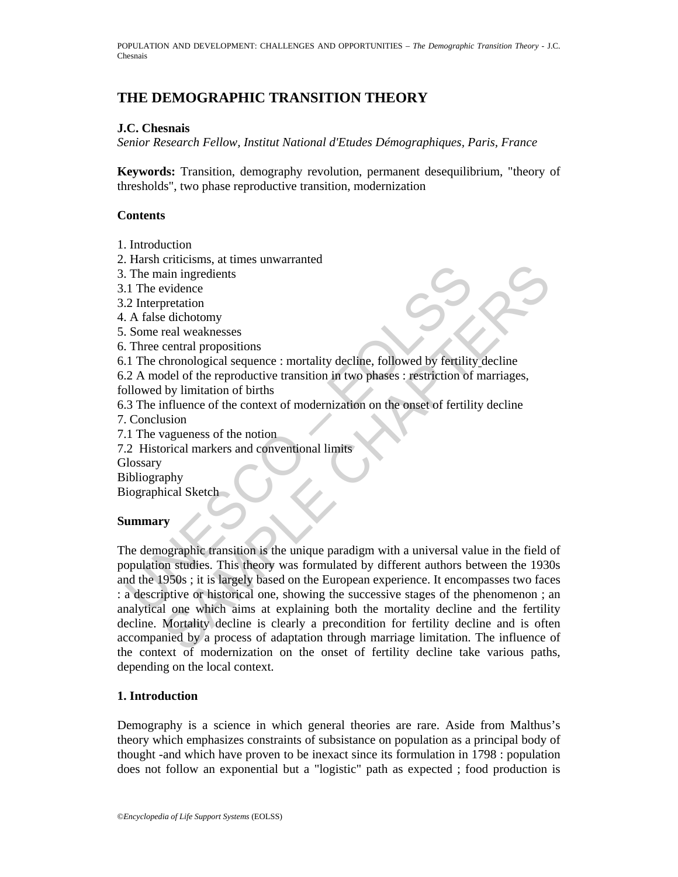# **THE DEMOGRAPHIC TRANSITION THEORY**

### **J.C. Chesnais**

*Senior Research Fellow, Institut National d'Etudes Démographiques, Paris, France* 

**Keywords:** Transition, demography revolution, permanent desequilibrium, "theory of thresholds", two phase reproductive transition, modernization

#### **Contents**

- 1. Introduction
- 2. Harsh criticisms, at times unwarranted
- 3. The main ingredients
- 3.1 The evidence
- 3.2 Interpretation
- 4. A false dichotomy
- 5. Some real weaknesses
- 6. Three central propositions
- 6.1 The chronological sequence : mortality decline, followed by fertility decline
- 6.2 A model of the reproductive transition in two phases : restriction of marriages, followed by limitation of births
- 6.3 The influence of the context of modernization on the onset of fertility decline
- 7. Conclusion
- 7.1 The vagueness of the notion
- 7.2 Historical markers and conventional limits
- **Glossary**
- Bibliography
- Biographical Sketch

# **Summary**

The main ingredients<br>
1. The evidence<br>
2. Interpretation<br>
1. The evidence<br>
2. Interpretation<br>
1. The evidence<br>
2. Interpretation<br>
5. Some real weaknesses<br>
1. The chronological sequence : mortality decline, followed by fert Example, an unit control in the state of the state of the state of the state of the state of the production<br>than ingredients<br>and medalities exclude the enproductive transition in two phases : restriction of marriages,<br>by l The demographic transition is the unique paradigm with a universal value in the field of population studies. This theory was formulated by different authors between the 1930s and the 1950s ; it is largely based on the European experience. It encompasses two faces : a descriptive or historical one, showing the successive stages of the phenomenon ; an analytical one which aims at explaining both the mortality decline and the fertility decline. Mortality decline is clearly a precondition for fertility decline and is often accompanied by a process of adaptation through marriage limitation. The influence of the context of modernization on the onset of fertility decline take various paths, depending on the local context.

# **1. Introduction**

Demography is a science in which general theories are rare. Aside from Malthus's theory which emphasizes constraints of subsistance on population as a principal body of thought -and which have proven to be inexact since its formulation in 1798 : population does not follow an exponential but a "logistic" path as expected ; food production is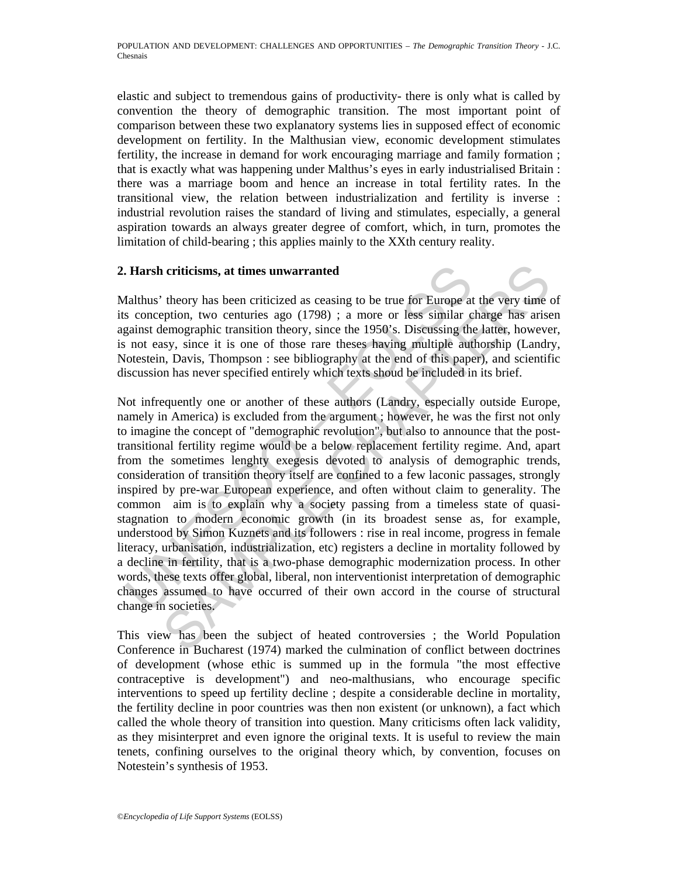elastic and subject to tremendous gains of productivity- there is only what is called by convention the theory of demographic transition. The most important point of comparison between these two explanatory systems lies in supposed effect of economic development on fertility. In the Malthusian view, economic development stimulates fertility, the increase in demand for work encouraging marriage and family formation ; that is exactly what was happening under Malthus's eyes in early industrialised Britain : there was a marriage boom and hence an increase in total fertility rates. In the transitional view, the relation between industrialization and fertility is inverse : industrial revolution raises the standard of living and stimulates, especially, a general aspiration towards an always greater degree of comfort, which, in turn, promotes the limitation of child-bearing ; this applies mainly to the XXth century reality.

# **2. Harsh criticisms, at times unwarranted**

Malthus' theory has been criticized as ceasing to be true for Europe at the very time of its conception, two centuries ago (1798) ; a more or less similar charge has arisen against demographic transition theory, since the 1950's. Discussing the latter, however, is not easy, since it is one of those rare theses having multiple authorship (Landry, Notestein, Davis, Thompson : see bibliography at the end of this paper), and scientific discussion has never specified entirely which texts shoud be included in its brief.

**Harsh criticisms, at times unwarranted**<br> **Ialthus'** theory has been criticized as ceasing to be true for Europe at<br>
s conception, two centuries ago (1798) ; a more or less similar c<br>
gainst demographic transition theory, retitiesms, at times unwarranted<br>theory has been criticized as ceasing to be true for Europe at the very time<br>prion, two centuries ago (1798) ; a more or less similar charge has arise<br>emographic transition theory, since th Not infrequently one or another of these authors (Landry, especially outside Europe, namely in America) is excluded from the argument ; however, he was the first not only to imagine the concept of "demographic revolution", but also to announce that the posttransitional fertility regime would be a below replacement fertility regime. And, apart from the sometimes lenghty exegesis devoted to analysis of demographic trends, consideration of transition theory itself are confined to a few laconic passages, strongly inspired by pre-war European experience, and often without claim to generality. The common aim is to explain why a society passing from a timeless state of quasistagnation to modern economic growth (in its broadest sense as, for example, understood by Simon Kuznets and its followers : rise in real income, progress in female literacy, urbanisation, industrialization, etc) registers a decline in mortality followed by a decline in fertility, that is a two-phase demographic modernization process. In other words, these texts offer global, liberal, non interventionist interpretation of demographic changes assumed to have occurred of their own accord in the course of structural change in societies.

This view has been the subject of heated controversies ; the World Population Conference in Bucharest (1974) marked the culmination of conflict between doctrines of development (whose ethic is summed up in the formula "the most effective contraceptive is development") and neo-malthusians, who encourage specific interventions to speed up fertility decline ; despite a considerable decline in mortality, the fertility decline in poor countries was then non existent (or unknown), a fact which called the whole theory of transition into question. Many criticisms often lack validity, as they misinterpret and even ignore the original texts. It is useful to review the main tenets, confining ourselves to the original theory which, by convention, focuses on Notestein's synthesis of 1953.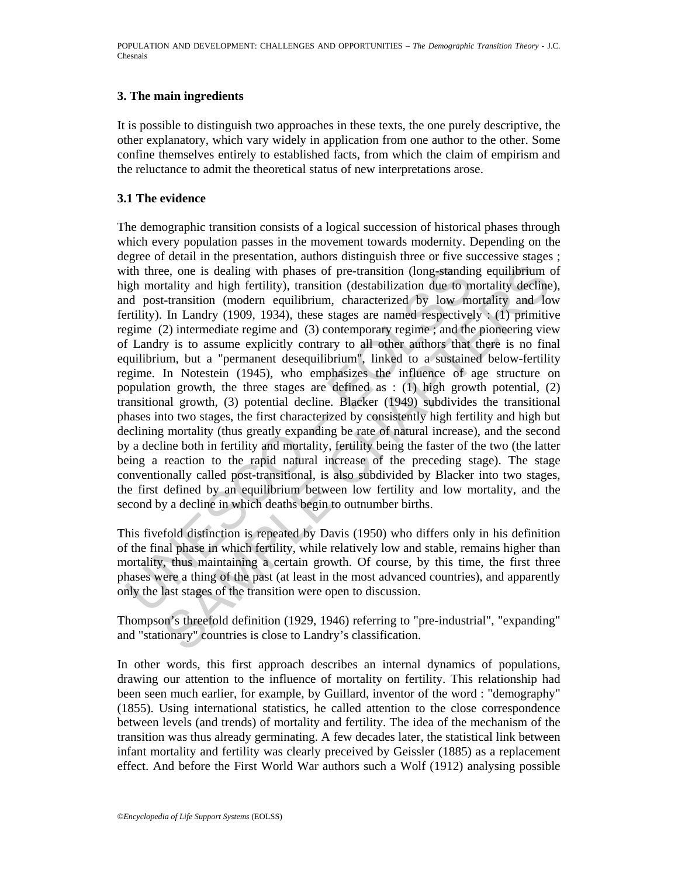# **3. The main ingredients**

It is possible to distinguish two approaches in these texts, the one purely descriptive, the other explanatory, which vary widely in application from one author to the other. Some confine themselves entirely to established facts, from which the claim of empirism and the reluctance to admit the theoretical status of new interpretations arose.

#### **3.1 The evidence**

rith three, one is dealing with phases of pre-transition (long-standingh mortality and high fertility), transition (destabilization due to m<br>dot post-transition (modern equilibrium, characterized by low modern<br>trility). In ie, one is dealing with phases of pre-transition (long-standing equilibrium crality and high fertility), transition (destabilization due to mortality and lot-t-ransition (modern equilibrium), characterized by low mortality The demographic transition consists of a logical succession of historical phases through which every population passes in the movement towards modernity. Depending on the degree of detail in the presentation, authors distinguish three or five successive stages ; with three, one is dealing with phases of pre-transition (long-standing equilibrium of high mortality and high fertility), transition (destabilization due to mortality decline), and post-transition (modern equilibrium, characterized by low mortality and low fertility). In Landry (1909, 1934), these stages are named respectively : (1) primitive regime (2) intermediate regime and (3) contemporary regime ; and the pioneering view of Landry is to assume explicitly contrary to all other authors that there is no final equilibrium, but a "permanent desequilibrium", linked to a sustained below-fertility regime. In Notestein (1945), who emphasizes the influence of age structure on population growth, the three stages are defined as : (1) high growth potential, (2) transitional growth, (3) potential decline. Blacker (1949) subdivides the transitional phases into two stages, the first characterized by consistently high fertility and high but declining mortality (thus greatly expanding be rate of natural increase), and the second by a decline both in fertility and mortality, fertility being the faster of the two (the latter being a reaction to the rapid natural increase of the preceding stage). The stage conventionally called post-transitional, is also subdivided by Blacker into two stages, the first defined by an equilibrium between low fertility and low mortality, and the second by a decline in which deaths begin to outnumber births.

This fivefold distinction is repeated by Davis (1950) who differs only in his definition of the final phase in which fertility, while relatively low and stable, remains higher than mortality, thus maintaining a certain growth. Of course, by this time, the first three phases were a thing of the past (at least in the most advanced countries), and apparently only the last stages of the transition were open to discussion.

Thompson's threefold definition (1929, 1946) referring to "pre-industrial", "expanding" and "stationary" countries is close to Landry's classification.

In other words, this first approach describes an internal dynamics of populations, drawing our attention to the influence of mortality on fertility. This relationship had been seen much earlier, for example, by Guillard, inventor of the word : "demography" (1855). Using international statistics, he called attention to the close correspondence between levels (and trends) of mortality and fertility. The idea of the mechanism of the transition was thus already germinating. A few decades later, the statistical link between infant mortality and fertility was clearly preceived by Geissler (1885) as a replacement effect. And before the First World War authors such a Wolf (1912) analysing possible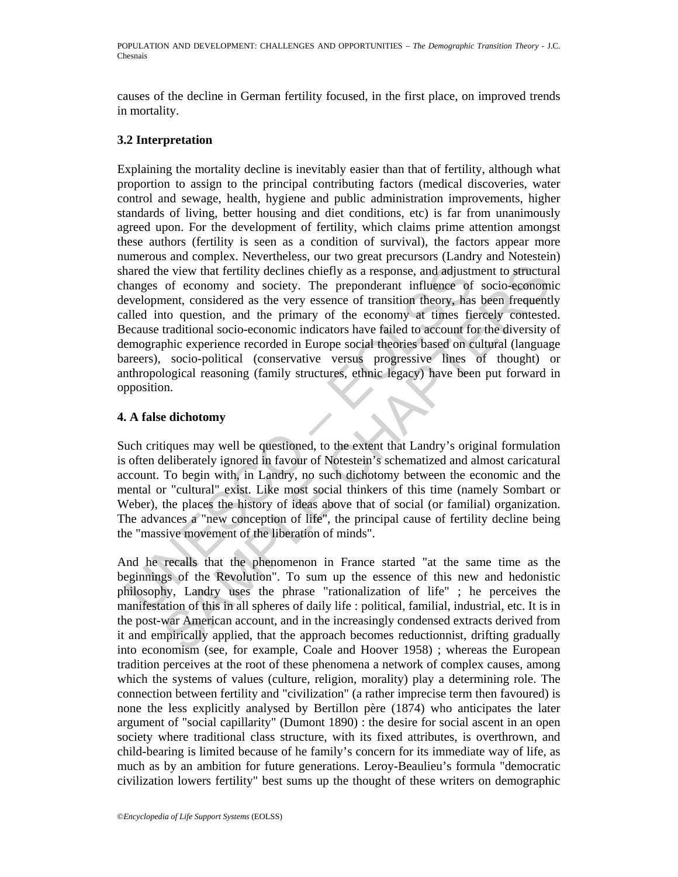causes of the decline in German fertility focused, in the first place, on improved trends in mortality.

### **3.2 Interpretation**

and the view that fertility declines chiefly as a response, and adjust<br>thanges of economy and society. The preponderant influence of<br>evelopment, considered as the very essence of transition theory, has<br>electuated at the qu is eview that fertility declines chiefly as a response, and adjustment to structure<br>of economy and society. The preponderant influence of socio-economic<br>nent, considered as the very essence of transition theory, has been f Explaining the mortality decline is inevitably easier than that of fertility, although what proportion to assign to the principal contributing factors (medical discoveries, water control and sewage, health, hygiene and public administration improvements, higher standards of living, better housing and diet conditions, etc) is far from unanimously agreed upon. For the development of fertility, which claims prime attention amongst these authors (fertility is seen as a condition of survival), the factors appear more numerous and complex. Nevertheless, our two great precursors (Landry and Notestein) shared the view that fertility declines chiefly as a response, and adjustment to structural changes of economy and society. The preponderant influence of socio-economic development, considered as the very essence of transition theory, has been frequently called into question, and the primary of the economy at times fiercely contested. Because traditional socio-economic indicators have failed to account for the diversity of demographic experience recorded in Europe social theories based on cultural (language bareers), socio-political (conservative versus progressive lines of thought) or anthropological reasoning (family structures, ethnic legacy) have been put forward in opposition.

#### **4. A false dichotomy**

Such critiques may well be questioned, to the extent that Landry's original formulation is often deliberately ignored in favour of Notestein's schematized and almost caricatural account. To begin with, in Landry, no such dichotomy between the economic and the mental or "cultural" exist. Like most social thinkers of this time (namely Sombart or Weber), the places the history of ideas above that of social (or familial) organization. The advances a "new conception of life", the principal cause of fertility decline being the "massive movement of the liberation of minds".

And he recalls that the phenomenon in France started "at the same time as the beginnings of the Revolution". To sum up the essence of this new and hedonistic philosophy, Landry uses the phrase "rationalization of life" ; he perceives the manifestation of this in all spheres of daily life : political, familial, industrial, etc. It is in the post-war American account, and in the increasingly condensed extracts derived from it and empirically applied, that the approach becomes reductionnist, drifting gradually into economism (see, for example, Coale and Hoover 1958) ; whereas the European tradition perceives at the root of these phenomena a network of complex causes, among which the systems of values (culture, religion, morality) play a determining role. The connection between fertility and "civilization" (a rather imprecise term then favoured) is none the less explicitly analysed by Bertillon père (1874) who anticipates the later argument of "social capillarity" (Dumont 1890) : the desire for social ascent in an open society where traditional class structure, with its fixed attributes, is overthrown, and child-bearing is limited because of he family's concern for its immediate way of life, as much as by an ambition for future generations. Leroy-Beaulieu's formula "democratic civilization lowers fertility" best sums up the thought of these writers on demographic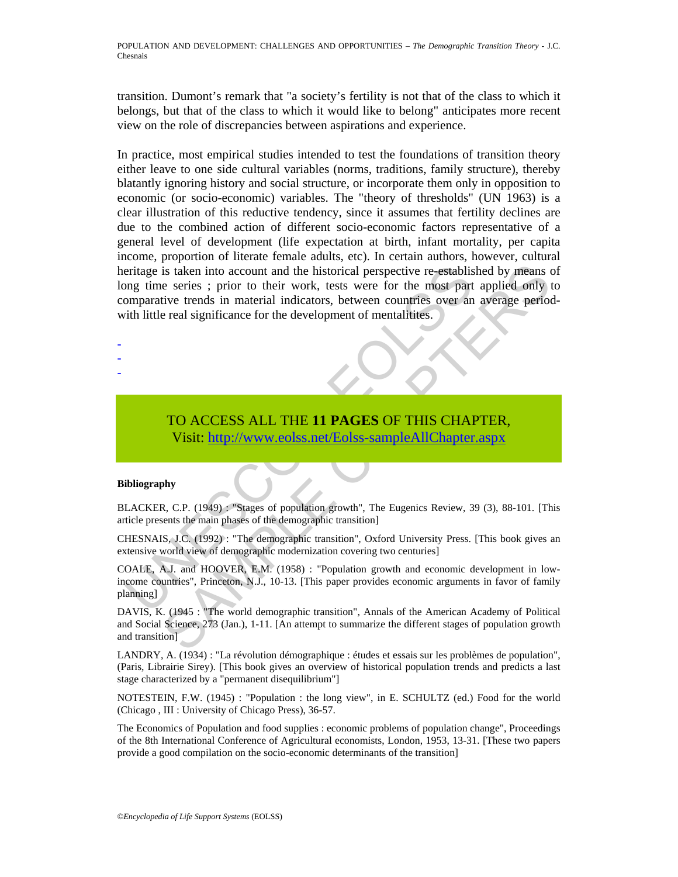transition. Dumont's remark that "a society's fertility is not that of the class to which it belongs, but that of the class to which it would like to belong" anticipates more recent view on the role of discrepancies between aspirations and experience.

eritage is taken into account and the historical perspective re-establis<br>mg time series ; prior to their work, tests were for the most part<br>mparative trends in material indicators, between countries over an<br>ith little real is taken into account and the historical perspective re-established by means of series ; prior to their work, tests were for the most part applied only tive trends in material indicators, between countries over an average In practice, most empirical studies intended to test the foundations of transition theory either leave to one side cultural variables (norms, traditions, family structure), thereby blatantly ignoring history and social structure, or incorporate them only in opposition to economic (or socio-economic) variables. The "theory of thresholds" (UN 1963) is a clear illustration of this reductive tendency, since it assumes that fertility declines are due to the combined action of different socio-economic factors representative of a general level of development (life expectation at birth, infant mortality, per capita income, proportion of literate female adults, etc). In certain authors, however, cultural heritage is taken into account and the historical perspective re-established by means of long time series ; prior to their work, tests were for the most part applied only to comparative trends in material indicators, between countries over an average periodwith little real significance for the development of mentalitites.

# TO ACCESS ALL THE **11 PAGES** OF THIS CHAPTER, Visit: http://www.eolss.net/Eolss-sampleAllChapter.aspx

#### **Bibliography**

- - -

BLACKER, C.P. (1949) : "Stages of population growth", The Eugenics Review, 39 (3), 88-101. [This article presents the main phases of the demographic transition]

CHESNAIS, J.C. (1992) : "The demographic transition", Oxford University Press. [This book gives an extensive world view of demographic modernization covering two centuries]

COALE, A.J. and HOOVER, E.M. (1958) : "Population growth and economic development in lowincome countries", Princeton, N.J., 10-13. [This paper provides economic arguments in favor of family planning]

DAVIS, K. (1945 : "The world demographic transition", Annals of the American Academy of Political and Social Science, 273 (Jan.), 1-11. [An attempt to summarize the different stages of population growth and transition]

LANDRY, A. (1934) : "La révolution démographique : études et essais sur les problèmes de population", (Paris, Librairie Sirey). [This book gives an overview of historical population trends and predicts a last stage characterized by a "permanent disequilibrium"]

NOTESTEIN, F.W. (1945) : "Population : the long view", in E. SCHULTZ (ed.) Food for the world (Chicago , III : University of Chicago Press), 36-57.

The Economics of Population and food supplies : economic problems of population change", Proceedings of the 8th International Conference of Agricultural economists, London, 1953, 13-31. [These two papers provide a good compilation on the socio-economic determinants of the transition]